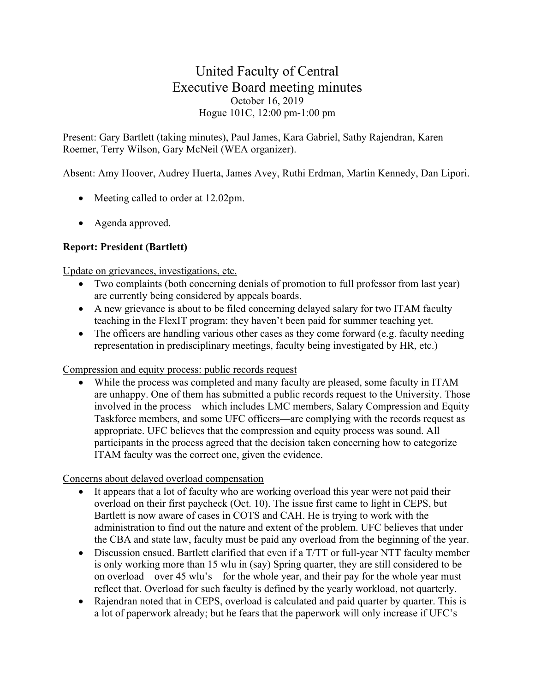# United Faculty of Central Executive Board meeting minutes October 16, 2019 Hogue 101C, 12:00 pm-1:00 pm

Present: Gary Bartlett (taking minutes), Paul James, Kara Gabriel, Sathy Rajendran, Karen Roemer, Terry Wilson, Gary McNeil (WEA organizer).

Absent: Amy Hoover, Audrey Huerta, James Avey, Ruthi Erdman, Martin Kennedy, Dan Lipori.

- Meeting called to order at 12.02pm.
- Agenda approved.

# **Report: President (Bartlett)**

### Update on grievances, investigations, etc.

- Two complaints (both concerning denials of promotion to full professor from last year) are currently being considered by appeals boards.
- A new grievance is about to be filed concerning delayed salary for two ITAM faculty teaching in the FlexIT program: they haven't been paid for summer teaching yet.
- The officers are handling various other cases as they come forward (e.g. faculty needing representation in predisciplinary meetings, faculty being investigated by HR, etc.)

### Compression and equity process: public records request

While the process was completed and many faculty are pleased, some faculty in ITAM are unhappy. One of them has submitted a public records request to the University. Those involved in the process—which includes LMC members, Salary Compression and Equity Taskforce members, and some UFC officers—are complying with the records request as appropriate. UFC believes that the compression and equity process was sound. All participants in the process agreed that the decision taken concerning how to categorize ITAM faculty was the correct one, given the evidence.

### Concerns about delayed overload compensation

- It appears that a lot of faculty who are working overload this year were not paid their overload on their first paycheck (Oct. 10). The issue first came to light in CEPS, but Bartlett is now aware of cases in COTS and CAH. He is trying to work with the administration to find out the nature and extent of the problem. UFC believes that under the CBA and state law, faculty must be paid any overload from the beginning of the year.
- Discussion ensued. Bartlett clarified that even if a T/TT or full-year NTT faculty member is only working more than 15 wlu in (say) Spring quarter, they are still considered to be on overload—over 45 wlu's—for the whole year, and their pay for the whole year must reflect that. Overload for such faculty is defined by the yearly workload, not quarterly.
- Rajendran noted that in CEPS, overload is calculated and paid quarter by quarter. This is a lot of paperwork already; but he fears that the paperwork will only increase if UFC's